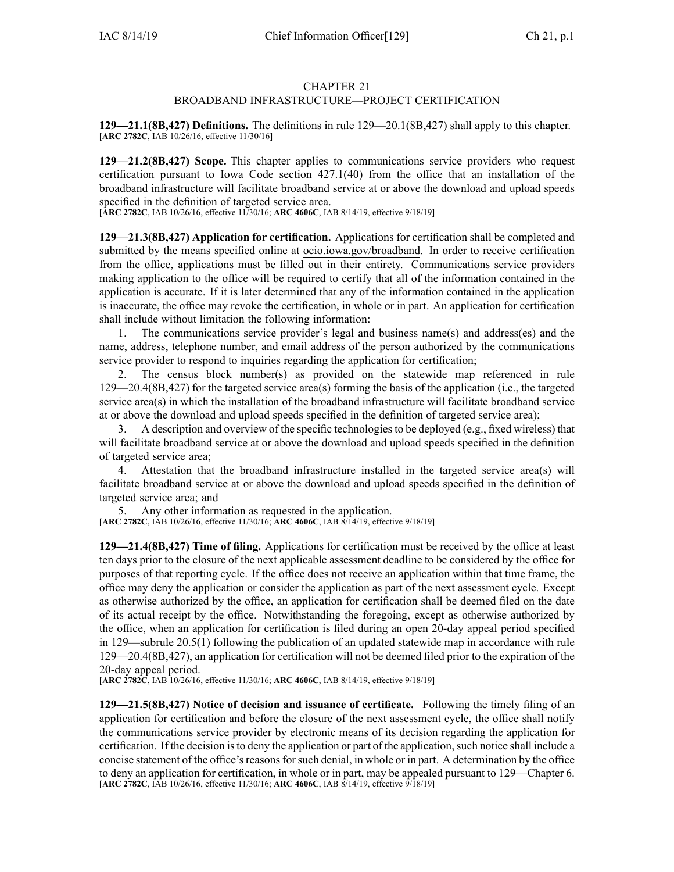## CHAPTER 21

## BROADBAND INFRASTRUCTURE—PROJECT CERTIFICATION

**129—21.1(8B,427) Definitions.** The definitions in rule [129—20.1](https://www.legis.iowa.gov/docs/iac/rule/129.20.1.pdf)(8B,427) shall apply to this chapter. [**ARC [2782C](https://www.legis.iowa.gov/docs/aco/arc/2782C.pdf)**, IAB 10/26/16, effective 11/30/16]

**129—21.2(8B,427) Scope.** This chapter applies to communications service providers who reques<sup>t</sup> certification pursuan<sup>t</sup> to Iowa Code section [427.1\(40\)](https://www.legis.iowa.gov/docs/ico/section/427.1.pdf) from the office that an installation of the broadband infrastructure will facilitate broadband service at or above the download and upload speeds specified in the definition of targeted service area.

[**ARC [2782C](https://www.legis.iowa.gov/docs/aco/arc/2782C.pdf)**, IAB 10/26/16, effective 11/30/16; **ARC [4606C](https://www.legis.iowa.gov/docs/aco/arc/4606C.pdf)**, IAB 8/14/19, effective 9/18/19]

**129—21.3(8B,427) Application for certification.** Applications for certification shall be completed and submitted by the means specified online at [ocio.iowa.gov/broadband](http://ocio.iowa.gov/broadband). In order to receive certification from the office, applications must be filled out in their entirety. Communications service providers making application to the office will be required to certify that all of the information contained in the application is accurate. If it is later determined that any of the information contained in the application is inaccurate, the office may revoke the certification, in whole or in part. An application for certification shall include without limitation the following information:

1. The communications service provider's legal and business name(s) and address(es) and the name, address, telephone number, and email address of the person authorized by the communications service provider to respond to inquiries regarding the application for certification;

2. The census block number(s) as provided on the statewide map referenced in rule 129—20.4(8B,427) for the targeted service area(s) forming the basis of the application (i.e., the targeted service area(s) in which the installation of the broadband infrastructure will facilitate broadband service at or above the download and upload speeds specified in the definition of targeted service area);

3. A description and overview of the specific technologiesto be deployed (e.g., fixed wireless) that will facilitate broadband service at or above the download and upload speeds specified in the definition of targeted service area;

4. Attestation that the broadband infrastructure installed in the targeted service area(s) will facilitate broadband service at or above the download and upload speeds specified in the definition of targeted service area; and

5. Any other information as requested in the application.

[**ARC [2782C](https://www.legis.iowa.gov/docs/aco/arc/2782C.pdf)**, IAB 10/26/16, effective 11/30/16; **ARC [4606C](https://www.legis.iowa.gov/docs/aco/arc/4606C.pdf)**, IAB 8/14/19, effective 9/18/19]

**129—21.4(8B,427) Time of filing.** Applications for certification must be received by the office at least ten days prior to the closure of the next applicable assessment deadline to be considered by the office for purposes of that reporting cycle. If the office does not receive an application within that time frame, the office may deny the application or consider the application as par<sup>t</sup> of the next assessment cycle. Except as otherwise authorized by the office, an application for certification shall be deemed filed on the date of its actual receipt by the office. Notwithstanding the foregoing, excep<sup>t</sup> as otherwise authorized by the office, when an application for certification is filed during an open 20-day appeal period specified in [129—subrule](https://www.legis.iowa.gov/docs/iac/rule/129.20.5.pdf) 20.5(1) following the publication of an updated statewide map in accordance with rule [129—20.4](https://www.legis.iowa.gov/docs/iac/rule/129.20.4.pdf)(8B,427), an application for certification will not be deemed filed prior to the expiration of the 20-day appeal period.

[**ARC [2782C](https://www.legis.iowa.gov/docs/aco/arc/2782C.pdf)**, IAB 10/26/16, effective 11/30/16; **ARC [4606C](https://www.legis.iowa.gov/docs/aco/arc/4606C.pdf)**, IAB 8/14/19, effective 9/18/19]

**129—21.5(8B,427) Notice of decision and issuance of certificate.** Following the timely filing of an application for certification and before the closure of the next assessment cycle, the office shall notify the communications service provider by electronic means of its decision regarding the application for certification. If the decision is to deny the application or part of the application, such notice shall include a concise statement of the office's reasons for such denial, in whole or in part. A determination by the office to deny an application for certification, in whole or in part, may be appealed pursuan<sup>t</sup> to 129—Chapter 6. [**ARC [2782C](https://www.legis.iowa.gov/docs/aco/arc/2782C.pdf)**, IAB 10/26/16, effective 11/30/16; **ARC [4606C](https://www.legis.iowa.gov/docs/aco/arc/4606C.pdf)**, IAB 8/14/19, effective 9/18/19]